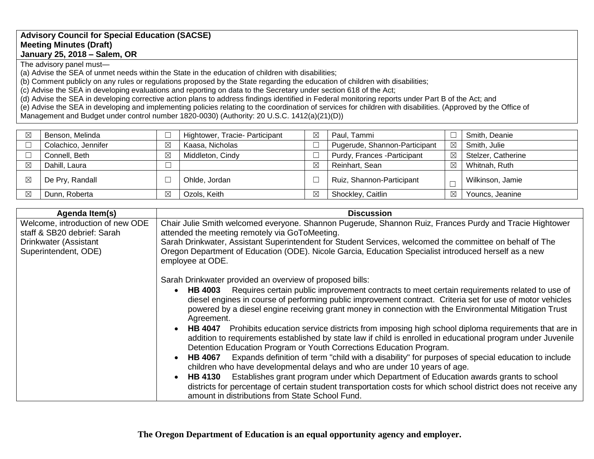## **Advisory Council for Special Education (SACSE) Meeting Minutes (Draft) January 25, 2018 – Salem, OR**

The advisory panel must—

(a) Advise the SEA of unmet needs within the State in the education of children with disabilities;

(b) Comment publicly on any rules or regulations proposed by the State regarding the education of children with disabilities;

(c) Advise the SEA in developing evaluations and reporting on data to the Secretary under section 618 of the Act;

(d) Advise the SEA in developing corrective action plans to address findings identified in Federal monitoring reports under Part B of the Act; and

(e) Advise the SEA in developing and implementing policies relating to the coordination of services for children with disabilities. (Approved by the Office of Management and Budget under control number 1820-0030) (Authority: 20 U.S.C. 1412(a)(21)(D))

| Benson, Melinda     |             | Hightower, Tracie- Participant | ⊠ | Paul, Tammi                   |             | Smith, Deanie      |
|---------------------|-------------|--------------------------------|---|-------------------------------|-------------|--------------------|
| Colachico, Jennifer | $\boxtimes$ | Kaasa, Nicholas                |   | Pugerude, Shannon-Participant | $\boxtimes$ | Smith, Julie       |
| Connell, Beth       | $\boxtimes$ | Middleton, Cindy               |   | Purdy, Frances - Participant  | $\boxtimes$ | Stelzer, Catherine |
| Dahill, Laura       |             |                                | ⊠ | Reinhart, Sean                | ⊠           | Whitnah, Ruth      |
| De Pry, Randall     |             | Ohlde, Jordan                  |   | Ruiz, Shannon-Participant     |             | Wilkinson, Jamie   |
| Dunn, Roberta       | $\boxtimes$ | Ozols, Keith                   | ⊠ | Shockley, Caitlin             | ⊠           | Youncs, Jeanine    |

| Agenda Item(s)                                                                                                   | <b>Discussion</b>                                                                                                                                                                                                                                                                                                                                                                                                                                                                                                                                                                                                                                                                                                                                                                                                                                                                                                                                                                                                                                                                                                                                                                              |  |
|------------------------------------------------------------------------------------------------------------------|------------------------------------------------------------------------------------------------------------------------------------------------------------------------------------------------------------------------------------------------------------------------------------------------------------------------------------------------------------------------------------------------------------------------------------------------------------------------------------------------------------------------------------------------------------------------------------------------------------------------------------------------------------------------------------------------------------------------------------------------------------------------------------------------------------------------------------------------------------------------------------------------------------------------------------------------------------------------------------------------------------------------------------------------------------------------------------------------------------------------------------------------------------------------------------------------|--|
| Welcome, introduction of new ODE<br>staff & SB20 debrief: Sarah<br>Drinkwater (Assistant<br>Superintendent, ODE) | Chair Julie Smith welcomed everyone. Shannon Pugerude, Shannon Ruiz, Frances Purdy and Tracie Hightower<br>attended the meeting remotely via GoToMeeting.<br>Sarah Drinkwater, Assistant Superintendent for Student Services, welcomed the committee on behalf of The<br>Oregon Department of Education (ODE). Nicole Garcia, Education Specialist introduced herself as a new<br>employee at ODE.                                                                                                                                                                                                                                                                                                                                                                                                                                                                                                                                                                                                                                                                                                                                                                                             |  |
|                                                                                                                  | Sarah Drinkwater provided an overview of proposed bills:<br>Requires certain public improvement contracts to meet certain requirements related to use of<br><b>HB 4003</b><br>diesel engines in course of performing public improvement contract. Criteria set for use of motor vehicles<br>powered by a diesel engine receiving grant money in connection with the Environmental Mitigation Trust<br>Agreement.<br>HB 4047 Prohibits education service districts from imposing high school diploma requirements that are in<br>addition to requirements established by state law if child is enrolled in educational program under Juvenile<br>Detention Education Program or Youth Corrections Education Program.<br>Expands definition of term "child with a disability" for purposes of special education to include<br><b>HB 4067</b><br>children who have developmental delays and who are under 10 years of age.<br>HB 4130 Establishes grant program under which Department of Education awards grants to school<br>districts for percentage of certain student transportation costs for which school district does not receive any<br>amount in distributions from State School Fund. |  |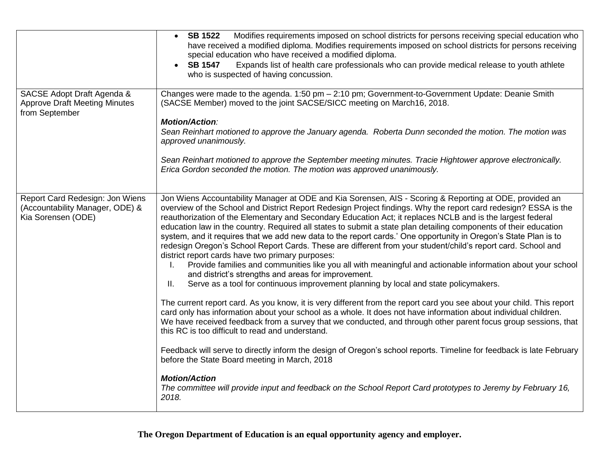|                                                                                          | Modifies requirements imposed on school districts for persons receiving special education who<br><b>SB 1522</b><br>$\bullet$<br>have received a modified diploma. Modifies requirements imposed on school districts for persons receiving<br>special education who have received a modified diploma.<br>Expands list of health care professionals who can provide medical release to youth athlete<br><b>SB 1547</b><br>who is suspected of having concussion.                                                                                                                                                                                                                                                                                                                                                                                                                                                                                                                                                                                                                                                                                                                                                                                                                                                                                                                                                                                                                                                                                                                                                                                                                                                                                                   |  |
|------------------------------------------------------------------------------------------|------------------------------------------------------------------------------------------------------------------------------------------------------------------------------------------------------------------------------------------------------------------------------------------------------------------------------------------------------------------------------------------------------------------------------------------------------------------------------------------------------------------------------------------------------------------------------------------------------------------------------------------------------------------------------------------------------------------------------------------------------------------------------------------------------------------------------------------------------------------------------------------------------------------------------------------------------------------------------------------------------------------------------------------------------------------------------------------------------------------------------------------------------------------------------------------------------------------------------------------------------------------------------------------------------------------------------------------------------------------------------------------------------------------------------------------------------------------------------------------------------------------------------------------------------------------------------------------------------------------------------------------------------------------------------------------------------------------------------------------------------------------|--|
| SACSE Adopt Draft Agenda &<br><b>Approve Draft Meeting Minutes</b><br>from September     | Changes were made to the agenda. 1:50 pm - 2:10 pm; Government-to-Government Update: Deanie Smith<br>(SACSE Member) moved to the joint SACSE/SICC meeting on March16, 2018.<br><b>Motion/Action:</b><br>Sean Reinhart motioned to approve the January agenda. Roberta Dunn seconded the motion. The motion was<br>approved unanimously.<br>Sean Reinhart motioned to approve the September meeting minutes. Tracie Hightower approve electronically.<br>Erica Gordon seconded the motion. The motion was approved unanimously.                                                                                                                                                                                                                                                                                                                                                                                                                                                                                                                                                                                                                                                                                                                                                                                                                                                                                                                                                                                                                                                                                                                                                                                                                                   |  |
| Report Card Redesign: Jon Wiens<br>(Accountability Manager, ODE) &<br>Kia Sorensen (ODE) | Jon Wiens Accountability Manager at ODE and Kia Sorensen, AIS - Scoring & Reporting at ODE, provided an<br>overview of the School and District Report Redesign Project findings. Why the report card redesign? ESSA is the<br>reauthorization of the Elementary and Secondary Education Act; it replaces NCLB and is the largest federal<br>education law in the country. Required all states to submit a state plan detailing components of their education<br>system, and it requires that we add new data to the report cards.' One opportunity in Oregon's State Plan is to<br>redesign Oregon's School Report Cards. These are different from your student/child's report card. School and<br>district report cards have two primary purposes:<br>Provide families and communities like you all with meaningful and actionable information about your school<br>Ι.<br>and district's strengths and areas for improvement.<br>Serve as a tool for continuous improvement planning by local and state policymakers.<br>II.<br>The current report card. As you know, it is very different from the report card you see about your child. This report<br>card only has information about your school as a whole. It does not have information about individual children.<br>We have received feedback from a survey that we conducted, and through other parent focus group sessions, that<br>this RC is too difficult to read and understand.<br>Feedback will serve to directly inform the design of Oregon's school reports. Timeline for feedback is late February<br>before the State Board meeting in March, 2018<br><b>Motion/Action</b><br>The committee will provide input and feedback on the School Report Card prototypes to Jeremy by February 16, |  |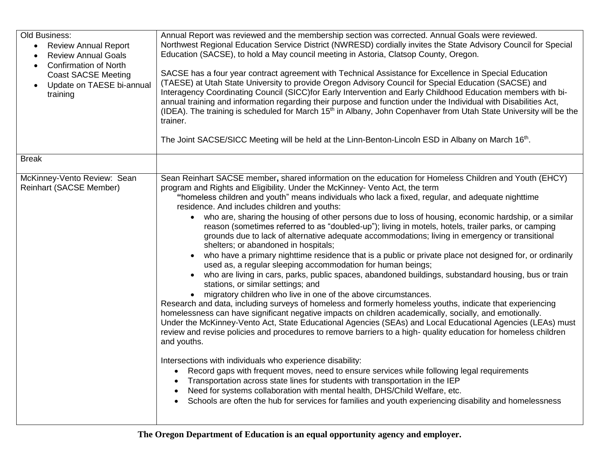| Old Business:<br><b>Review Annual Report</b><br>$\bullet$<br><b>Review Annual Goals</b><br>$\bullet$<br><b>Confirmation of North</b><br>$\bullet$<br><b>Coast SACSE Meeting</b><br>Update on TAESE bi-annual<br>$\bullet$<br>training | Annual Report was reviewed and the membership section was corrected. Annual Goals were reviewed.<br>Northwest Regional Education Service District (NWRESD) cordially invites the State Advisory Council for Special<br>Education (SACSE), to hold a May council meeting in Astoria, Clatsop County, Oregon.<br>SACSE has a four year contract agreement with Technical Assistance for Excellence in Special Education<br>(TAESE) at Utah State University to provide Oregon Advisory Council for Special Education (SACSE) and<br>Interagency Coordinating Council (SICC) for Early Intervention and Early Childhood Education members with bi-<br>annual training and information regarding their purpose and function under the Individual with Disabilities Act,<br>(IDEA). The training is scheduled for March 15 <sup>th</sup> in Albany, John Copenhaver from Utah State University will be the<br>trainer.<br>The Joint SACSE/SICC Meeting will be held at the Linn-Benton-Lincoln ESD in Albany on March 16 <sup>th</sup> .                                                                                                                                                                                                                                                                                                                                                                                                                                                                                                                                                                                                                                                                                                                                                                                                                                                                                                                                                                                        |
|---------------------------------------------------------------------------------------------------------------------------------------------------------------------------------------------------------------------------------------|----------------------------------------------------------------------------------------------------------------------------------------------------------------------------------------------------------------------------------------------------------------------------------------------------------------------------------------------------------------------------------------------------------------------------------------------------------------------------------------------------------------------------------------------------------------------------------------------------------------------------------------------------------------------------------------------------------------------------------------------------------------------------------------------------------------------------------------------------------------------------------------------------------------------------------------------------------------------------------------------------------------------------------------------------------------------------------------------------------------------------------------------------------------------------------------------------------------------------------------------------------------------------------------------------------------------------------------------------------------------------------------------------------------------------------------------------------------------------------------------------------------------------------------------------------------------------------------------------------------------------------------------------------------------------------------------------------------------------------------------------------------------------------------------------------------------------------------------------------------------------------------------------------------------------------------------------------------------------------------------------------------------------|
| <b>Break</b>                                                                                                                                                                                                                          |                                                                                                                                                                                                                                                                                                                                                                                                                                                                                                                                                                                                                                                                                                                                                                                                                                                                                                                                                                                                                                                                                                                                                                                                                                                                                                                                                                                                                                                                                                                                                                                                                                                                                                                                                                                                                                                                                                                                                                                                                            |
| McKinney-Vento Review: Sean<br><b>Reinhart (SACSE Member)</b>                                                                                                                                                                         | Sean Reinhart SACSE member, shared information on the education for Homeless Children and Youth (EHCY)<br>program and Rights and Eligibility. Under the McKinney- Vento Act, the term<br>"homeless children and youth" means individuals who lack a fixed, regular, and adequate nighttime<br>residence. And includes children and youths:<br>who are, sharing the housing of other persons due to loss of housing, economic hardship, or a similar<br>reason (sometimes referred to as "doubled-up"); living in motels, hotels, trailer parks, or camping<br>grounds due to lack of alternative adequate accommodations; living in emergency or transitional<br>shelters; or abandoned in hospitals;<br>who have a primary nighttime residence that is a public or private place not designed for, or ordinarily<br>used as, a regular sleeping accommodation for human beings;<br>who are living in cars, parks, public spaces, abandoned buildings, substandard housing, bus or train<br>stations, or similar settings; and<br>migratory children who live in one of the above circumstances.<br>Research and data, including surveys of homeless and formerly homeless youths, indicate that experiencing<br>homelessness can have significant negative impacts on children academically, socially, and emotionally.<br>Under the McKinney-Vento Act, State Educational Agencies (SEAs) and Local Educational Agencies (LEAs) must<br>review and revise policies and procedures to remove barriers to a high- quality education for homeless children<br>and youths.<br>Intersections with individuals who experience disability:<br>Record gaps with frequent moves, need to ensure services while following legal requirements<br>Transportation across state lines for students with transportation in the IEP<br>Need for systems collaboration with mental health, DHS/Child Welfare, etc.<br>Schools are often the hub for services for families and youth experiencing disability and homelessness<br>$\bullet$ |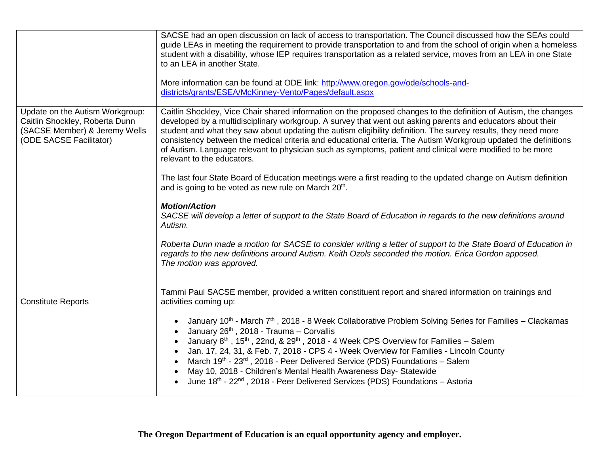|                                                                                                                               | SACSE had an open discussion on lack of access to transportation. The Council discussed how the SEAs could<br>guide LEAs in meeting the requirement to provide transportation to and from the school of origin when a homeless<br>student with a disability, whose IEP requires transportation as a related service, moves from an LEA in one State<br>to an LEA in another State.<br>More information can be found at ODE link: http://www.oregon.gov/ode/schools-and-<br>districts/grants/ESEA/McKinney-Vento/Pages/default.aspx                                                                                                                      |
|-------------------------------------------------------------------------------------------------------------------------------|---------------------------------------------------------------------------------------------------------------------------------------------------------------------------------------------------------------------------------------------------------------------------------------------------------------------------------------------------------------------------------------------------------------------------------------------------------------------------------------------------------------------------------------------------------------------------------------------------------------------------------------------------------|
| Update on the Autism Workgroup:<br>Caitlin Shockley, Roberta Dunn<br>(SACSE Member) & Jeremy Wells<br>(ODE SACSE Facilitator) | Caitlin Shockley, Vice Chair shared information on the proposed changes to the definition of Autism, the changes<br>developed by a multidisciplinary workgroup. A survey that went out asking parents and educators about their<br>student and what they saw about updating the autism eligibility definition. The survey results, they need more<br>consistency between the medical criteria and educational criteria. The Autism Workgroup updated the definitions<br>of Autism. Language relevant to physician such as symptoms, patient and clinical were modified to be more<br>relevant to the educators.                                         |
|                                                                                                                               | The last four State Board of Education meetings were a first reading to the updated change on Autism definition<br>and is going to be voted as new rule on March 20th.                                                                                                                                                                                                                                                                                                                                                                                                                                                                                  |
|                                                                                                                               | <b>Motion/Action</b><br>SACSE will develop a letter of support to the State Board of Education in regards to the new definitions around<br>Autism.                                                                                                                                                                                                                                                                                                                                                                                                                                                                                                      |
|                                                                                                                               | Roberta Dunn made a motion for SACSE to consider writing a letter of support to the State Board of Education in<br>regards to the new definitions around Autism. Keith Ozols seconded the motion. Erica Gordon apposed.<br>The motion was approved.                                                                                                                                                                                                                                                                                                                                                                                                     |
| <b>Constitute Reports</b>                                                                                                     | Tammi Paul SACSE member, provided a written constituent report and shared information on trainings and<br>activities coming up:                                                                                                                                                                                                                                                                                                                                                                                                                                                                                                                         |
|                                                                                                                               | January 10 <sup>th</sup> - March 7 <sup>th</sup> , 2018 - 8 Week Collaborative Problem Solving Series for Families – Clackamas<br>January 26th, 2018 - Trauma - Corvallis<br>January 8 <sup>th</sup> , 15 <sup>th</sup> , 22nd, & 29 <sup>th</sup> , 2018 - 4 Week CPS Overview for Families - Salem<br>Jan. 17, 24, 31, & Feb. 7, 2018 - CPS 4 - Week Overview for Families - Lincoln County<br>March $19^{th}$ - $23^{rd}$ , 2018 - Peer Delivered Service (PDS) Foundations – Salem<br>May 10, 2018 - Children's Mental Health Awareness Day- Statewide<br>June 18th - 22 <sup>nd</sup> , 2018 - Peer Delivered Services (PDS) Foundations - Astoria |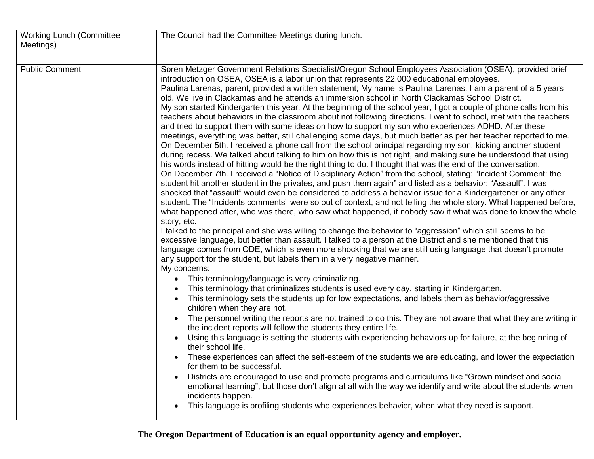| <b>Working Lunch (Committee</b> | The Council had the Committee Meetings during lunch.                                                                                                                                                                                                                                                                                                                                                                                                                                                                                                                                                                                                                                                                                                                                                                                                                                                                                                                                                                                                                                                                                                                                                                                                                                                                                                                                                                                                                                                                                                                                                                                                                                                                                                                                                                                                                                                                                                                                                                                                                                                                                                                                                                                                                                                                                                                                                                                                                                                                                                                                                                                                                                                                                                                                                                                                                                                                                                                                                                                                                                                                                                                                                                                                                                                                                                                                                       |
|---------------------------------|------------------------------------------------------------------------------------------------------------------------------------------------------------------------------------------------------------------------------------------------------------------------------------------------------------------------------------------------------------------------------------------------------------------------------------------------------------------------------------------------------------------------------------------------------------------------------------------------------------------------------------------------------------------------------------------------------------------------------------------------------------------------------------------------------------------------------------------------------------------------------------------------------------------------------------------------------------------------------------------------------------------------------------------------------------------------------------------------------------------------------------------------------------------------------------------------------------------------------------------------------------------------------------------------------------------------------------------------------------------------------------------------------------------------------------------------------------------------------------------------------------------------------------------------------------------------------------------------------------------------------------------------------------------------------------------------------------------------------------------------------------------------------------------------------------------------------------------------------------------------------------------------------------------------------------------------------------------------------------------------------------------------------------------------------------------------------------------------------------------------------------------------------------------------------------------------------------------------------------------------------------------------------------------------------------------------------------------------------------------------------------------------------------------------------------------------------------------------------------------------------------------------------------------------------------------------------------------------------------------------------------------------------------------------------------------------------------------------------------------------------------------------------------------------------------------------------------------------------------------------------------------------------------------------------------------------------------------------------------------------------------------------------------------------------------------------------------------------------------------------------------------------------------------------------------------------------------------------------------------------------------------------------------------------------------------------------------------------------------------------------------------------------------|
| Meetings)                       |                                                                                                                                                                                                                                                                                                                                                                                                                                                                                                                                                                                                                                                                                                                                                                                                                                                                                                                                                                                                                                                                                                                                                                                                                                                                                                                                                                                                                                                                                                                                                                                                                                                                                                                                                                                                                                                                                                                                                                                                                                                                                                                                                                                                                                                                                                                                                                                                                                                                                                                                                                                                                                                                                                                                                                                                                                                                                                                                                                                                                                                                                                                                                                                                                                                                                                                                                                                                            |
| <b>Public Comment</b>           | Soren Metzger Government Relations Specialist/Oregon School Employees Association (OSEA), provided brief<br>introduction on OSEA, OSEA is a labor union that represents 22,000 educational employees.<br>Paulina Larenas, parent, provided a written statement; My name is Paulina Larenas. I am a parent of a 5 years<br>old. We live in Clackamas and he attends an immersion school in North Clackamas School District.<br>My son started Kindergarten this year. At the beginning of the school year, I got a couple of phone calls from his<br>teachers about behaviors in the classroom about not following directions. I went to school, met with the teachers<br>and tried to support them with some ideas on how to support my son who experiences ADHD. After these<br>meetings, everything was better, still challenging some days, but much better as per her teacher reported to me.<br>On December 5th. I received a phone call from the school principal regarding my son, kicking another student<br>during recess. We talked about talking to him on how this is not right, and making sure he understood that using<br>his words instead of hitting would be the right thing to do. I thought that was the end of the conversation.<br>On December 7th. I received a "Notice of Disciplinary Action" from the school, stating: "Incident Comment: the<br>student hit another student in the privates, and push them again" and listed as a behavior: "Assault". I was<br>shocked that "assault" would even be considered to address a behavior issue for a Kindergartener or any other<br>student. The "Incidents comments" were so out of context, and not telling the whole story. What happened before,<br>what happened after, who was there, who saw what happened, if nobody saw it what was done to know the whole<br>story, etc.<br>I talked to the principal and she was willing to change the behavior to "aggression" which still seems to be<br>excessive language, but better than assault. I talked to a person at the District and she mentioned that this<br>language comes from ODE, which is even more shocking that we are still using language that doesn't promote<br>any support for the student, but labels them in a very negative manner.<br>My concerns:<br>This terminology/language is very criminalizing.<br>This terminology that criminalizes students is used every day, starting in Kindergarten.<br>This terminology sets the students up for low expectations, and labels them as behavior/aggressive<br>children when they are not.<br>The personnel writing the reports are not trained to do this. They are not aware that what they are writing in<br>the incident reports will follow the students they entire life.<br>Using this language is setting the students with experiencing behaviors up for failure, at the beginning of<br>their school life.<br>These experiences can affect the self-esteem of the students we are educating, and lower the expectation<br>for them to be successful.<br>Districts are encouraged to use and promote programs and curriculums like "Grown mindset and social<br>emotional learning", but those don't align at all with the way we identify and write about the students when<br>incidents happen.<br>This language is profiling students who experiences behavior, when what they need is support. |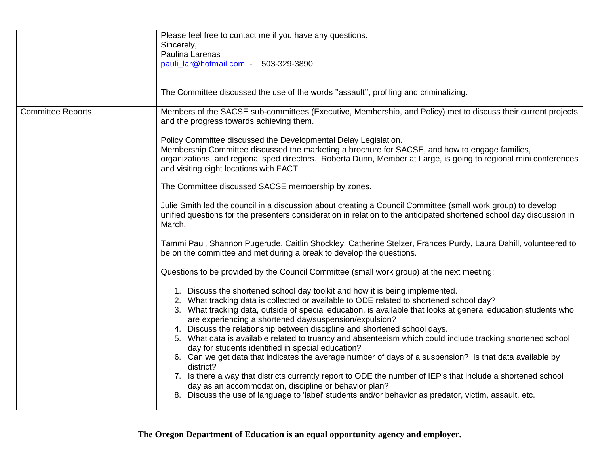|                          | Please feel free to contact me if you have any questions.<br>Sincerely,<br>Paulina Larenas<br>pauli_lar@hotmail.com - 503-329-3890                                                                                                                                                                                                                                                                                                                                                                                                                                                                                                                                                                                                                                                                                                                                                                                                                                                                            |
|--------------------------|---------------------------------------------------------------------------------------------------------------------------------------------------------------------------------------------------------------------------------------------------------------------------------------------------------------------------------------------------------------------------------------------------------------------------------------------------------------------------------------------------------------------------------------------------------------------------------------------------------------------------------------------------------------------------------------------------------------------------------------------------------------------------------------------------------------------------------------------------------------------------------------------------------------------------------------------------------------------------------------------------------------|
|                          | The Committee discussed the use of the words "assault", profiling and criminalizing.                                                                                                                                                                                                                                                                                                                                                                                                                                                                                                                                                                                                                                                                                                                                                                                                                                                                                                                          |
| <b>Committee Reports</b> | Members of the SACSE sub-committees (Executive, Membership, and Policy) met to discuss their current projects<br>and the progress towards achieving them.                                                                                                                                                                                                                                                                                                                                                                                                                                                                                                                                                                                                                                                                                                                                                                                                                                                     |
|                          | Policy Committee discussed the Developmental Delay Legislation.<br>Membership Committee discussed the marketing a brochure for SACSE, and how to engage families,<br>organizations, and regional sped directors. Roberta Dunn, Member at Large, is going to regional mini conferences<br>and visiting eight locations with FACT.                                                                                                                                                                                                                                                                                                                                                                                                                                                                                                                                                                                                                                                                              |
|                          | The Committee discussed SACSE membership by zones.                                                                                                                                                                                                                                                                                                                                                                                                                                                                                                                                                                                                                                                                                                                                                                                                                                                                                                                                                            |
|                          | Julie Smith led the council in a discussion about creating a Council Committee (small work group) to develop<br>unified questions for the presenters consideration in relation to the anticipated shortened school day discussion in<br>March.                                                                                                                                                                                                                                                                                                                                                                                                                                                                                                                                                                                                                                                                                                                                                                |
|                          | Tammi Paul, Shannon Pugerude, Caitlin Shockley, Catherine Stelzer, Frances Purdy, Laura Dahill, volunteered to<br>be on the committee and met during a break to develop the questions.                                                                                                                                                                                                                                                                                                                                                                                                                                                                                                                                                                                                                                                                                                                                                                                                                        |
|                          | Questions to be provided by the Council Committee (small work group) at the next meeting:                                                                                                                                                                                                                                                                                                                                                                                                                                                                                                                                                                                                                                                                                                                                                                                                                                                                                                                     |
|                          | 1. Discuss the shortened school day toolkit and how it is being implemented.<br>2. What tracking data is collected or available to ODE related to shortened school day?<br>3. What tracking data, outside of special education, is available that looks at general education students who<br>are experiencing a shortened day/suspension/expulsion?<br>4. Discuss the relationship between discipline and shortened school days.<br>5. What data is available related to truancy and absenteeism which could include tracking shortened school<br>day for students identified in special education?<br>6. Can we get data that indicates the average number of days of a suspension? Is that data available by<br>district?<br>7. Is there a way that districts currently report to ODE the number of IEP's that include a shortened school<br>day as an accommodation, discipline or behavior plan?<br>8. Discuss the use of language to 'label' students and/or behavior as predator, victim, assault, etc. |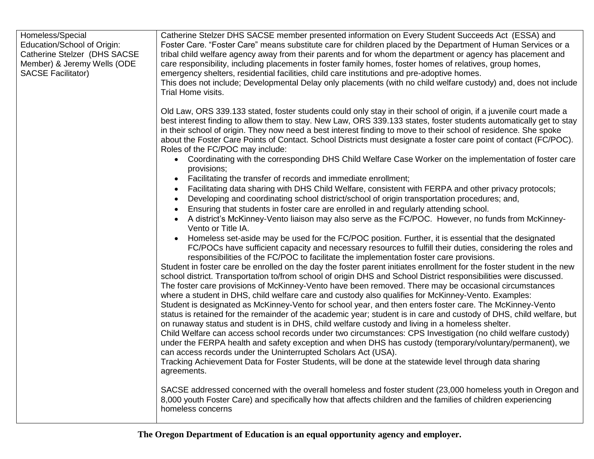| Homeless/Special<br>Education/School of Origin:<br>Catherine Stelzer (DHS SACSE<br>Member) & Jeremy Wells (ODE<br><b>SACSE Facilitator)</b> | Catherine Stelzer DHS SACSE member presented information on Every Student Succeeds Act (ESSA) and<br>Foster Care. "Foster Care" means substitute care for children placed by the Department of Human Services or a<br>tribal child welfare agency away from their parents and for whom the department or agency has placement and<br>care responsibility, including placements in foster family homes, foster homes of relatives, group homes,<br>emergency shelters, residential facilities, child care institutions and pre-adoptive homes.<br>This does not include; Developmental Delay only placements (with no child welfare custody) and, does not include<br>Trial Home visits.                                                                                                                                                                                                                                                                                                                                                                                                                                                                                                                                                                                                                                                                                                                                                                                                                                                        |
|---------------------------------------------------------------------------------------------------------------------------------------------|------------------------------------------------------------------------------------------------------------------------------------------------------------------------------------------------------------------------------------------------------------------------------------------------------------------------------------------------------------------------------------------------------------------------------------------------------------------------------------------------------------------------------------------------------------------------------------------------------------------------------------------------------------------------------------------------------------------------------------------------------------------------------------------------------------------------------------------------------------------------------------------------------------------------------------------------------------------------------------------------------------------------------------------------------------------------------------------------------------------------------------------------------------------------------------------------------------------------------------------------------------------------------------------------------------------------------------------------------------------------------------------------------------------------------------------------------------------------------------------------------------------------------------------------|
|                                                                                                                                             | Old Law, ORS 339.133 stated, foster students could only stay in their school of origin, if a juvenile court made a<br>best interest finding to allow them to stay. New Law, ORS 339.133 states, foster students automatically get to stay<br>in their school of origin. They now need a best interest finding to move to their school of residence. She spoke<br>about the Foster Care Points of Contact. School Districts must designate a foster care point of contact (FC/POC).<br>Roles of the FC/POC may include:                                                                                                                                                                                                                                                                                                                                                                                                                                                                                                                                                                                                                                                                                                                                                                                                                                                                                                                                                                                                                         |
|                                                                                                                                             | • Coordinating with the corresponding DHS Child Welfare Case Worker on the implementation of foster care<br>provisions;<br>Facilitating the transfer of records and immediate enrollment;<br>Facilitating data sharing with DHS Child Welfare, consistent with FERPA and other privacy protocols;<br>Developing and coordinating school district/school of origin transportation procedures; and,<br>Ensuring that students in foster care are enrolled in and regularly attending school.<br>A district's McKinney-Vento liaison may also serve as the FC/POC. However, no funds from McKinney-<br>Vento or Title IA.                                                                                                                                                                                                                                                                                                                                                                                                                                                                                                                                                                                                                                                                                                                                                                                                                                                                                                                         |
|                                                                                                                                             | Homeless set-aside may be used for the FC/POC position. Further, it is essential that the designated<br>FC/POCs have sufficient capacity and necessary resources to fulfill their duties, considering the roles and<br>responsibilities of the FC/POC to facilitate the implementation foster care provisions.<br>Student in foster care be enrolled on the day the foster parent initiates enrollment for the foster student in the new<br>school district. Transportation to/from school of origin DHS and School District responsibilities were discussed.<br>The foster care provisions of McKinney-Vento have been removed. There may be occasional circumstances<br>where a student in DHS, child welfare care and custody also qualifies for McKinney-Vento. Examples:<br>Student is designated as McKinney-Vento for school year, and then enters foster care. The McKinney-Vento<br>status is retained for the remainder of the academic year; student is in care and custody of DHS, child welfare, but<br>on runaway status and student is in DHS, child welfare custody and living in a homeless shelter.<br>Child Welfare can access school records under two circumstances: CPS Investigation (no child welfare custody)<br>under the FERPA health and safety exception and when DHS has custody (temporary/voluntary/permanent), we<br>can access records under the Uninterrupted Scholars Act (USA).<br>Tracking Achievement Data for Foster Students, will be done at the statewide level through data sharing<br>agreements. |
|                                                                                                                                             | SACSE addressed concerned with the overall homeless and foster student (23,000 homeless youth in Oregon and<br>8,000 youth Foster Care) and specifically how that affects children and the families of children experiencing<br>homeless concerns                                                                                                                                                                                                                                                                                                                                                                                                                                                                                                                                                                                                                                                                                                                                                                                                                                                                                                                                                                                                                                                                                                                                                                                                                                                                                              |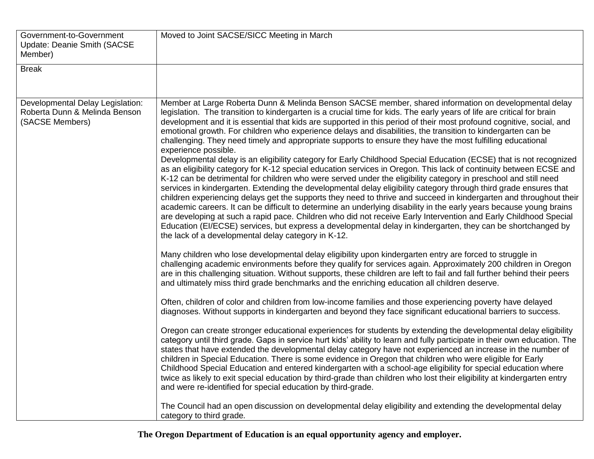| Government-to-Government<br><b>Update: Deanie Smith (SACSE)</b><br>Member)           | Moved to Joint SACSE/SICC Meeting in March                                                                                                                                                                                                                                                                                                                                                                                                                                                                                                                                                                                                                                                                                                                                                                                                                                                                                                                                                                                                                                                                                                                                                                                                                                                                                                                                                                                                                                                                                                                                                                                                                                                                                                                                                                                                                                                                                                                                                                                                                                                                                                                                                                                                                                                                                                                                                                                                                                                                                                                                                                                                                                                                                                                                                                                                                                                                                                                                                                                                                                                                                                                                                                                                                               |
|--------------------------------------------------------------------------------------|--------------------------------------------------------------------------------------------------------------------------------------------------------------------------------------------------------------------------------------------------------------------------------------------------------------------------------------------------------------------------------------------------------------------------------------------------------------------------------------------------------------------------------------------------------------------------------------------------------------------------------------------------------------------------------------------------------------------------------------------------------------------------------------------------------------------------------------------------------------------------------------------------------------------------------------------------------------------------------------------------------------------------------------------------------------------------------------------------------------------------------------------------------------------------------------------------------------------------------------------------------------------------------------------------------------------------------------------------------------------------------------------------------------------------------------------------------------------------------------------------------------------------------------------------------------------------------------------------------------------------------------------------------------------------------------------------------------------------------------------------------------------------------------------------------------------------------------------------------------------------------------------------------------------------------------------------------------------------------------------------------------------------------------------------------------------------------------------------------------------------------------------------------------------------------------------------------------------------------------------------------------------------------------------------------------------------------------------------------------------------------------------------------------------------------------------------------------------------------------------------------------------------------------------------------------------------------------------------------------------------------------------------------------------------------------------------------------------------------------------------------------------------------------------------------------------------------------------------------------------------------------------------------------------------------------------------------------------------------------------------------------------------------------------------------------------------------------------------------------------------------------------------------------------------------------------------------------------------------------------------------------------------|
| <b>Break</b>                                                                         |                                                                                                                                                                                                                                                                                                                                                                                                                                                                                                                                                                                                                                                                                                                                                                                                                                                                                                                                                                                                                                                                                                                                                                                                                                                                                                                                                                                                                                                                                                                                                                                                                                                                                                                                                                                                                                                                                                                                                                                                                                                                                                                                                                                                                                                                                                                                                                                                                                                                                                                                                                                                                                                                                                                                                                                                                                                                                                                                                                                                                                                                                                                                                                                                                                                                          |
| Developmental Delay Legislation:<br>Roberta Dunn & Melinda Benson<br>(SACSE Members) | Member at Large Roberta Dunn & Melinda Benson SACSE member, shared information on developmental delay<br>legislation. The transition to kindergarten is a crucial time for kids. The early years of life are critical for brain<br>development and it is essential that kids are supported in this period of their most profound cognitive, social, and<br>emotional growth. For children who experience delays and disabilities, the transition to kindergarten can be<br>challenging. They need timely and appropriate supports to ensure they have the most fulfilling educational<br>experience possible.<br>Developmental delay is an eligibility category for Early Childhood Special Education (ECSE) that is not recognized<br>as an eligibility category for K-12 special education services in Oregon. This lack of continuity between ECSE and<br>K-12 can be detrimental for children who were served under the eligibility category in preschool and still need<br>services in kindergarten. Extending the developmental delay eligibility category through third grade ensures that<br>children experiencing delays get the supports they need to thrive and succeed in kindergarten and throughout their<br>academic careers. It can be difficult to determine an underlying disability in the early years because young brains<br>are developing at such a rapid pace. Children who did not receive Early Intervention and Early Childhood Special<br>Education (EI/ECSE) services, but express a developmental delay in kindergarten, they can be shortchanged by<br>the lack of a developmental delay category in K-12.<br>Many children who lose developmental delay eligibility upon kindergarten entry are forced to struggle in<br>challenging academic environments before they qualify for services again. Approximately 200 children in Oregon<br>are in this challenging situation. Without supports, these children are left to fail and fall further behind their peers<br>and ultimately miss third grade benchmarks and the enriching education all children deserve.<br>Often, children of color and children from low-income families and those experiencing poverty have delayed<br>diagnoses. Without supports in kindergarten and beyond they face significant educational barriers to success.<br>Oregon can create stronger educational experiences for students by extending the developmental delay eligibility<br>category until third grade. Gaps in service hurt kids' ability to learn and fully participate in their own education. The<br>states that have extended the developmental delay category have not experienced an increase in the number of<br>children in Special Education. There is some evidence in Oregon that children who were eligible for Early<br>Childhood Special Education and entered kindergarten with a school-age eligibility for special education where<br>twice as likely to exit special education by third-grade than children who lost their eligibility at kindergarten entry<br>and were re-identified for special education by third-grade.<br>The Council had an open discussion on developmental delay eligibility and extending the developmental delay<br>category to third grade. |